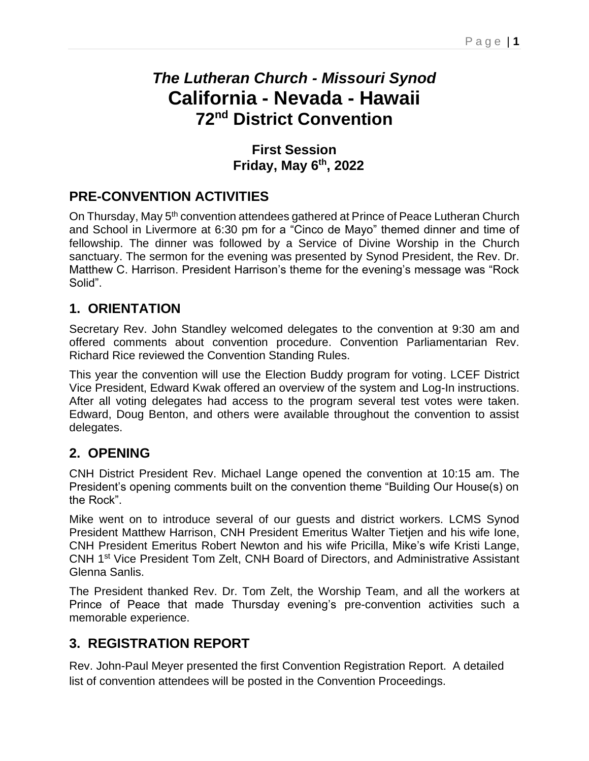# *The Lutheran Church - Missouri Synod* **California - Nevada - Hawaii 72 nd District Convention**

#### **First Session Friday, May 6 th, 2022**

### **PRE-CONVENTION ACTIVITIES**

On Thursday, May 5<sup>th</sup> convention attendees gathered at Prince of Peace Lutheran Church and School in Livermore at 6:30 pm for a "Cinco de Mayo" themed dinner and time of fellowship. The dinner was followed by a Service of Divine Worship in the Church sanctuary. The sermon for the evening was presented by Synod President, the Rev. Dr. Matthew C. Harrison. President Harrison's theme for the evening's message was "Rock Solid".

#### **1. ORIENTATION**

Secretary Rev. John Standley welcomed delegates to the convention at 9:30 am and offered comments about convention procedure. Convention Parliamentarian Rev. Richard Rice reviewed the Convention Standing Rules.

This year the convention will use the Election Buddy program for voting. LCEF District Vice President, Edward Kwak offered an overview of the system and Log-In instructions. After all voting delegates had access to the program several test votes were taken. Edward, Doug Benton, and others were available throughout the convention to assist delegates.

#### **2. OPENING**

CNH District President Rev. Michael Lange opened the convention at 10:15 am. The President's opening comments built on the convention theme "Building Our House(s) on the Rock".

Mike went on to introduce several of our guests and district workers. LCMS Synod President Matthew Harrison, CNH President Emeritus Walter Tietjen and his wife Ione, CNH President Emeritus Robert Newton and his wife Pricilla, Mike's wife Kristi Lange, CNH 1st Vice President Tom Zelt, CNH Board of Directors, and Administrative Assistant Glenna Sanlis.

The President thanked Rev. Dr. Tom Zelt, the Worship Team, and all the workers at Prince of Peace that made Thursday evening's pre-convention activities such a memorable experience.

### **3. REGISTRATION REPORT**

Rev. John-Paul Meyer presented the first Convention Registration Report. A detailed list of convention attendees will be posted in the Convention Proceedings.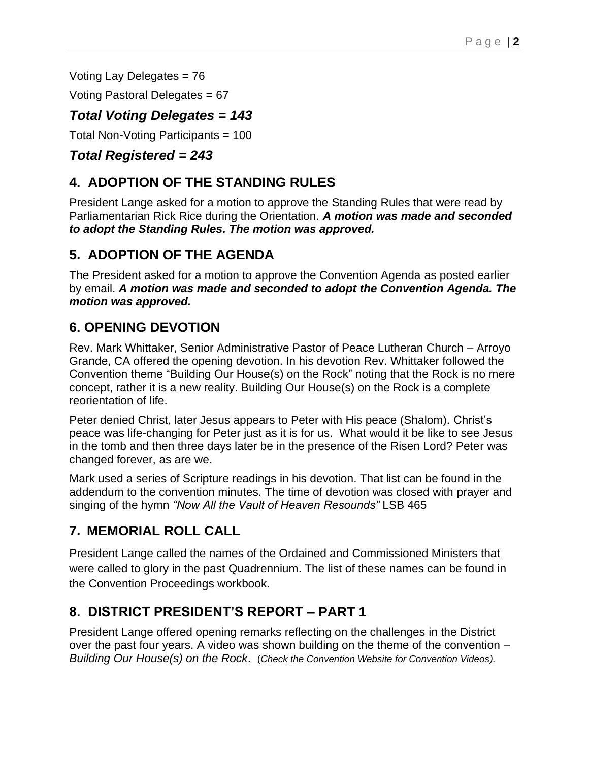Voting Lay Delegates = 76

Voting Pastoral Delegates = 67

#### *Total Voting Delegates = 143*

Total Non-Voting Participants = 100

#### *Total Registered = 243*

### **4. ADOPTION OF THE STANDING RULES**

President Lange asked for a motion to approve the Standing Rules that were read by Parliamentarian Rick Rice during the Orientation. *A motion was made and seconded to adopt the Standing Rules. The motion was approved.* 

### **5. ADOPTION OF THE AGENDA**

The President asked for a motion to approve the Convention Agenda as posted earlier by email. *A motion was made and seconded to adopt the Convention Agenda. The motion was approved.*

### **6. OPENING DEVOTION**

Rev. Mark Whittaker, Senior Administrative Pastor of Peace Lutheran Church – Arroyo Grande, CA offered the opening devotion. In his devotion Rev. Whittaker followed the Convention theme "Building Our House(s) on the Rock" noting that the Rock is no mere concept, rather it is a new reality. Building Our House(s) on the Rock is a complete reorientation of life.

Peter denied Christ, later Jesus appears to Peter with His peace (Shalom). Christ's peace was life-changing for Peter just as it is for us. What would it be like to see Jesus in the tomb and then three days later be in the presence of the Risen Lord? Peter was changed forever, as are we.

Mark used a series of Scripture readings in his devotion. That list can be found in the addendum to the convention minutes. The time of devotion was closed with prayer and singing of the hymn *"Now All the Vault of Heaven Resounds"* LSB 465

### **7. MEMORIAL ROLL CALL**

President Lange called the names of the Ordained and Commissioned Ministers that were called to glory in the past Quadrennium. The list of these names can be found in the Convention Proceedings workbook.

#### **8. DISTRICT PRESIDENT'S REPORT – PART 1**

President Lange offered opening remarks reflecting on the challenges in the District over the past four years. A video was shown building on the theme of the convention – *Building Our House(s) on the Rock*. (*Check the Convention Website for Convention Videos).*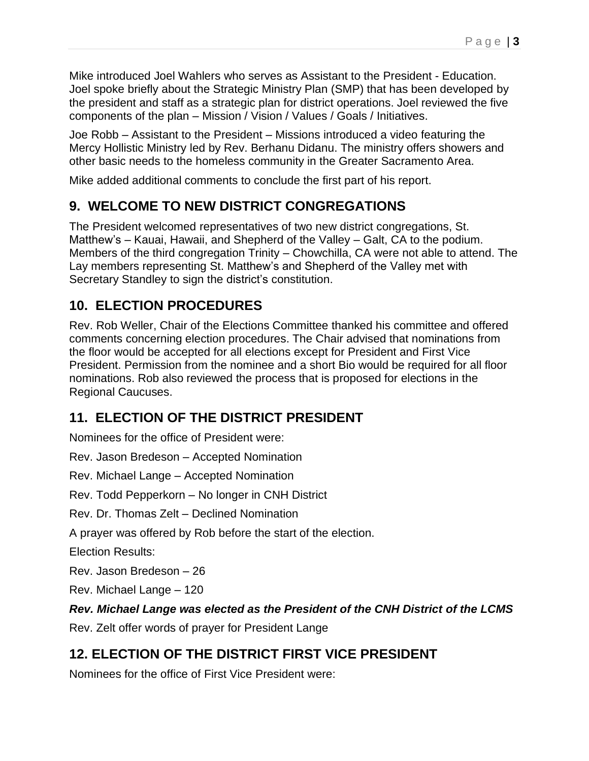Mike introduced Joel Wahlers who serves as Assistant to the President - Education. Joel spoke briefly about the Strategic Ministry Plan (SMP) that has been developed by the president and staff as a strategic plan for district operations. Joel reviewed the five components of the plan – Mission / Vision / Values / Goals / Initiatives.

Joe Robb – Assistant to the President – Missions introduced a video featuring the Mercy Hollistic Ministry led by Rev. Berhanu Didanu. The ministry offers showers and other basic needs to the homeless community in the Greater Sacramento Area.

Mike added additional comments to conclude the first part of his report.

## **9. WELCOME TO NEW DISTRICT CONGREGATIONS**

The President welcomed representatives of two new district congregations, St. Matthew's – Kauai, Hawaii, and Shepherd of the Valley – Galt, CA to the podium. Members of the third congregation Trinity – Chowchilla, CA were not able to attend. The Lay members representing St. Matthew's and Shepherd of the Valley met with Secretary Standley to sign the district's constitution.

## **10. ELECTION PROCEDURES**

Rev. Rob Weller, Chair of the Elections Committee thanked his committee and offered comments concerning election procedures. The Chair advised that nominations from the floor would be accepted for all elections except for President and First Vice President. Permission from the nominee and a short Bio would be required for all floor nominations. Rob also reviewed the process that is proposed for elections in the Regional Caucuses.

## **11. ELECTION OF THE DISTRICT PRESIDENT**

Nominees for the office of President were:

Rev. Jason Bredeson – Accepted Nomination

Rev. Michael Lange – Accepted Nomination

Rev. Todd Pepperkorn – No longer in CNH District

Rev. Dr. Thomas Zelt – Declined Nomination

A prayer was offered by Rob before the start of the election.

Election Results:

Rev. Jason Bredeson – 26

Rev. Michael Lange – 120

#### *Rev. Michael Lange was elected as the President of the CNH District of the LCMS*

Rev. Zelt offer words of prayer for President Lange

# **12. ELECTION OF THE DISTRICT FIRST VICE PRESIDENT**

Nominees for the office of First Vice President were: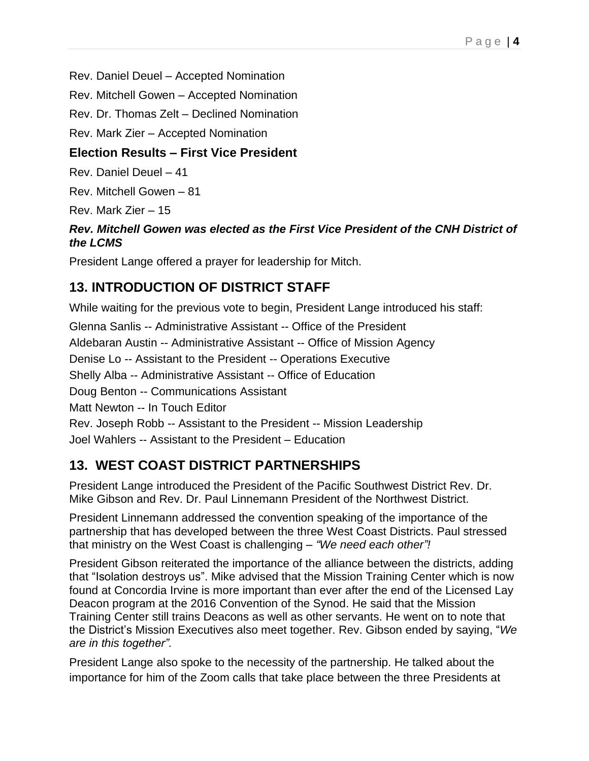Rev. Daniel Deuel – Accepted Nomination

Rev. Mitchell Gowen – Accepted Nomination

Rev. Dr. Thomas Zelt – Declined Nomination

Rev. Mark Zier – Accepted Nomination

#### **Election Results – First Vice President**

Rev. Daniel Deuel – 41

Rev. Mitchell Gowen – 81

Rev. Mark Zier – 15

#### *Rev. Mitchell Gowen was elected as the First Vice President of the CNH District of the LCMS*

President Lange offered a prayer for leadership for Mitch.

## **13. INTRODUCTION OF DISTRICT STAFF**

While waiting for the previous vote to begin, President Lange introduced his staff:

Glenna Sanlis -- Administrative Assistant -- Office of the President Aldebaran Austin -- Administrative Assistant -- Office of Mission Agency Denise Lo -- Assistant to the President -- Operations Executive Shelly Alba -- Administrative Assistant -- Office of Education Doug Benton -- Communications Assistant Matt Newton -- In Touch Editor Rev. Joseph Robb -- Assistant to the President -- Mission Leadership Joel Wahlers -- Assistant to the President – Education

## **13. WEST COAST DISTRICT PARTNERSHIPS**

President Lange introduced the President of the Pacific Southwest District Rev. Dr. Mike Gibson and Rev. Dr. Paul Linnemann President of the Northwest District.

President Linnemann addressed the convention speaking of the importance of the partnership that has developed between the three West Coast Districts. Paul stressed that ministry on the West Coast is challenging – *"We need each other"!*

President Gibson reiterated the importance of the alliance between the districts, adding that "Isolation destroys us". Mike advised that the Mission Training Center which is now found at Concordia Irvine is more important than ever after the end of the Licensed Lay Deacon program at the 2016 Convention of the Synod. He said that the Mission Training Center still trains Deacons as well as other servants. He went on to note that the District's Mission Executives also meet together. Rev. Gibson ended by saying, "*We are in this together".*

President Lange also spoke to the necessity of the partnership. He talked about the importance for him of the Zoom calls that take place between the three Presidents at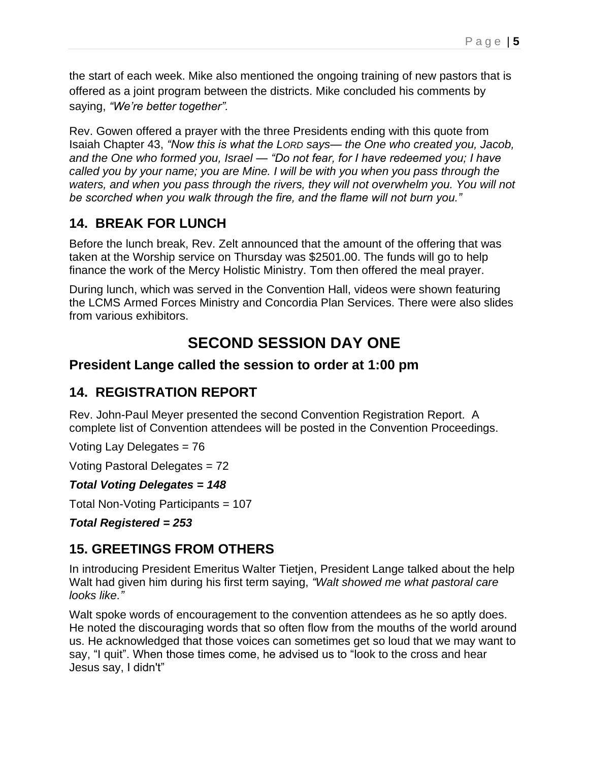the start of each week. Mike also mentioned the ongoing training of new pastors that is offered as a joint program between the districts. Mike concluded his comments by saying, *"We're better together".*

Rev. Gowen offered a prayer with the three Presidents ending with this quote from Isaiah Chapter 43, *"Now this is what the LORD says— the One who created you, Jacob, and the One who formed you, Israel — "Do not fear, for I have redeemed you; I have called you by your name; you are Mine. I will be with you when you pass through the*  waters, and when you pass through the rivers, they will not overwhelm you. You will not *be scorched when you walk through the fire, and the flame will not burn you."*

### **14. BREAK FOR LUNCH**

Before the lunch break, Rev. Zelt announced that the amount of the offering that was taken at the Worship service on Thursday was \$2501.00. The funds will go to help finance the work of the Mercy Holistic Ministry. Tom then offered the meal prayer.

During lunch, which was served in the Convention Hall, videos were shown featuring the LCMS Armed Forces Ministry and Concordia Plan Services. There were also slides from various exhibitors.

# **SECOND SESSION DAY ONE**

#### **President Lange called the session to order at 1:00 pm**

#### **14. REGISTRATION REPORT**

Rev. John-Paul Meyer presented the second Convention Registration Report. A complete list of Convention attendees will be posted in the Convention Proceedings.

Voting Lay Delegates = 76

Voting Pastoral Delegates = 72

#### *Total Voting Delegates = 148*

Total Non-Voting Participants = 107

*Total Registered = 253*

#### **15. GREETINGS FROM OTHERS**

In introducing President Emeritus Walter Tietjen, President Lange talked about the help Walt had given him during his first term saying, *"Walt showed me what pastoral care looks like."*

Walt spoke words of encouragement to the convention attendees as he so aptly does. He noted the discouraging words that so often flow from the mouths of the world around us. He acknowledged that those voices can sometimes get so loud that we may want to say, "I quit". When those times come, he advised us to "look to the cross and hear Jesus say, I didn't"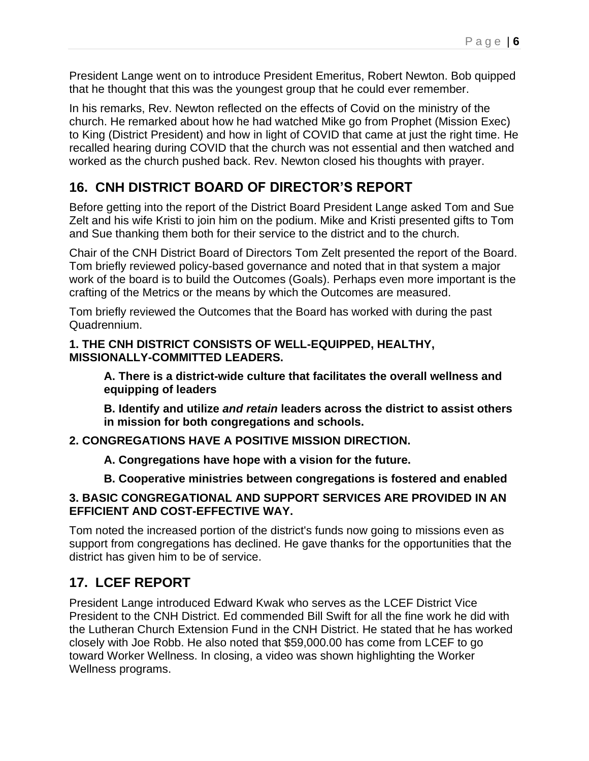President Lange went on to introduce President Emeritus, Robert Newton. Bob quipped that he thought that this was the youngest group that he could ever remember.

In his remarks, Rev. Newton reflected on the effects of Covid on the ministry of the church. He remarked about how he had watched Mike go from Prophet (Mission Exec) to King (District President) and how in light of COVID that came at just the right time. He recalled hearing during COVID that the church was not essential and then watched and worked as the church pushed back. Rev. Newton closed his thoughts with prayer.

### **16. CNH DISTRICT BOARD OF DIRECTOR'S REPORT**

Before getting into the report of the District Board President Lange asked Tom and Sue Zelt and his wife Kristi to join him on the podium. Mike and Kristi presented gifts to Tom and Sue thanking them both for their service to the district and to the church.

Chair of the CNH District Board of Directors Tom Zelt presented the report of the Board. Tom briefly reviewed policy-based governance and noted that in that system a major work of the board is to build the Outcomes (Goals). Perhaps even more important is the crafting of the Metrics or the means by which the Outcomes are measured.

Tom briefly reviewed the Outcomes that the Board has worked with during the past Quadrennium.

#### **1. THE CNH DISTRICT CONSISTS OF WELL-EQUIPPED, HEALTHY, MISSIONALLY-COMMITTED LEADERS.**

**A. There is a district-wide culture that facilitates the overall wellness and equipping of leaders** 

**B. Identify and utilize** *and retain* **leaders across the district to assist others in mission for both congregations and schools.** 

#### **2. CONGREGATIONS HAVE A POSITIVE MISSION DIRECTION.**

**A. Congregations have hope with a vision for the future.** 

#### **B. Cooperative ministries between congregations is fostered and enabled**

#### **3. BASIC CONGREGATIONAL AND SUPPORT SERVICES ARE PROVIDED IN AN EFFICIENT AND COST-EFFECTIVE WAY.**

Tom noted the increased portion of the district's funds now going to missions even as support from congregations has declined. He gave thanks for the opportunities that the district has given him to be of service.

### **17. LCEF REPORT**

President Lange introduced Edward Kwak who serves as the LCEF District Vice President to the CNH District. Ed commended Bill Swift for all the fine work he did with the Lutheran Church Extension Fund in the CNH District. He stated that he has worked closely with Joe Robb. He also noted that \$59,000.00 has come from LCEF to go toward Worker Wellness. In closing, a video was shown highlighting the Worker Wellness programs.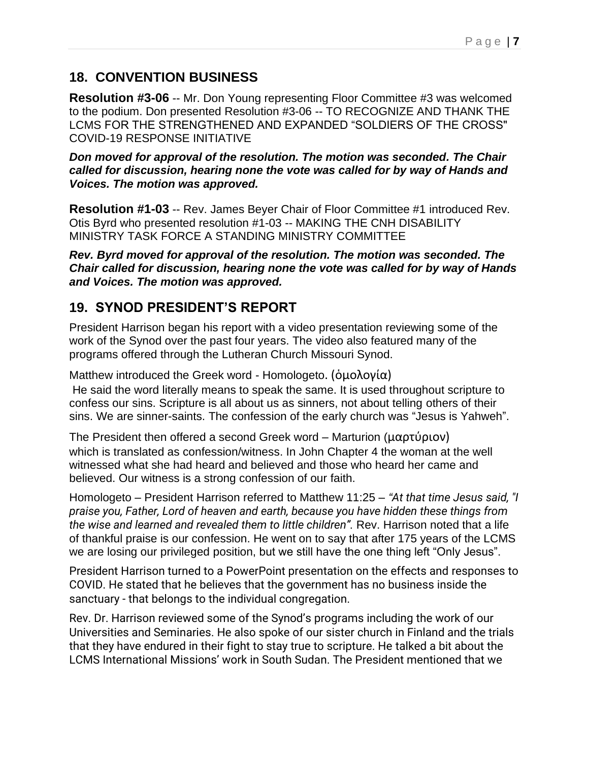#### **18. CONVENTION BUSINESS**

**Resolution #3-06** -- Mr. Don Young representing Floor Committee #3 was welcomed to the podium. Don presented Resolution #3-06 -- TO RECOGNIZE AND THANK THE LCMS FOR THE STRENGTHENED AND EXPANDED "SOLDIERS OF THE CROSS" COVID-19 RESPONSE INITIATIVE

*Don moved for approval of the resolution. The motion was seconded. The Chair called for discussion, hearing none the vote was called for by way of Hands and Voices. The motion was approved.* 

**Resolution #1-03** -- Rev. James Beyer Chair of Floor Committee #1 introduced Rev. Otis Byrd who presented resolution #1-03 -- MAKING THE CNH DISABILITY MINISTRY TASK FORCE A STANDING MINISTRY COMMITTEE

*Rev. Byrd moved for approval of the resolution. The motion was seconded. The Chair called for discussion, hearing none the vote was called for by way of Hands and Voices. The motion was approved.* 

### **19. SYNOD PRESIDENT'S REPORT**

President Harrison began his report with a video presentation reviewing some of the work of the Synod over the past four years. The video also featured many of the programs offered through the Lutheran Church Missouri Synod.

Matthew introduced the Greek word - Homologeto. (ὁμολογία) He said the word literally means to speak the same. It is used throughout scripture to confess our sins. Scripture is all about us as sinners, not about telling others of their sins. We are sinner-saints. The confession of the early church was "Jesus is Yahweh".

The President then offered a second Greek word – Marturion (μαρτύριον) which is translated as confession/witness. In John Chapter 4 the woman at the well witnessed what she had heard and believed and those who heard her came and believed. Our witness is a strong confession of our faith.

Homologeto – President Harrison referred to Matthew 11:25 – *"At that time Jesus said, "I praise you, Father, Lord of heaven and earth, because you have hidden these things from the wise and learned and revealed them to little children".* Rev. Harrison noted that a life of thankful praise is our confession. He went on to say that after 175 years of the LCMS we are losing our privileged position, but we still have the one thing left "Only Jesus".

President Harrison turned to a PowerPoint presentation on the effects and responses to COVID. He stated that he believes that the government has no business inside the sanctuary - that belongs to the individual congregation.

Rev. Dr. Harrison reviewed some of the Synod's programs including the work of our Universities and Seminaries. He also spoke of our sister church in Finland and the trials that they have endured in their fight to stay true to scripture. He talked a bit about the LCMS International Missions' work in South Sudan. The President mentioned that we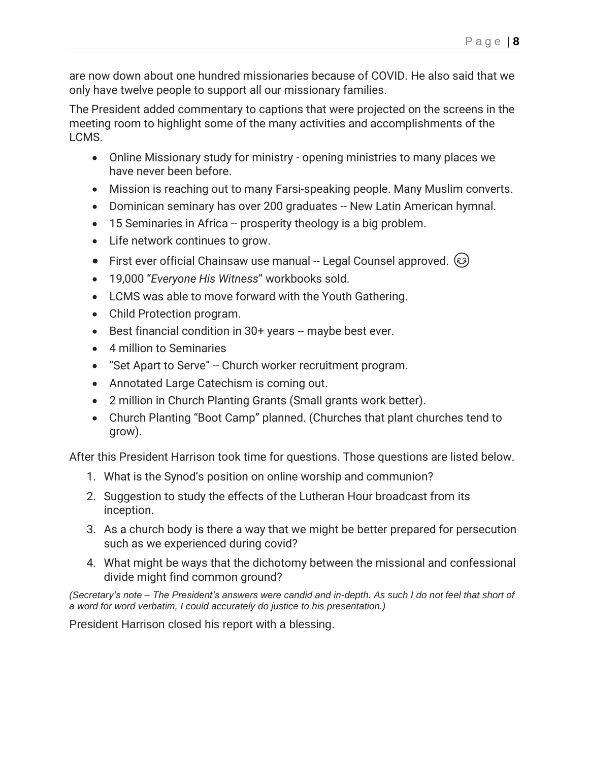are now down about one hundred missionaries because of COVID. He also said that we only have twelve people to support all our missionary families.

The President added commentary to captions that were projected on the screens in the meeting room to highlight some of the many activities and accomplishments of the LCMS.

- Online Missionary study for ministry opening ministries to many places we have never been before.
- Mission is reaching out to many Farsi-speaking people. Many Muslim converts.
- Dominican seminary has over 200 graduates -- New Latin American hymnal.
- 15 Seminaries in Africa -- prosperity theology is a big problem.
- Life network continues to grow.
- First ever official Chainsaw use manual -- Legal Counsel approved.  $\circled{\!}$
- 19,000 "*Everyone His Witness*" workbooks sold.
- LCMS was able to move forward with the Youth Gathering.
- Child Protection program.
- Best financial condition in 30+ years -- maybe best ever.
- 4 million to Seminaries
- "Set Apart to Serve" -- Church worker recruitment program.
- Annotated Large Catechism is coming out.
- 2 million in Church Planting Grants (Small grants work better).
- Church Planting "Boot Camp" planned. (Churches that plant churches tend to grow).

After this President Harrison took time for questions. Those questions are listed below.

- 1. What is the Synod's position on online worship and communion?
- 2. Suggestion to study the effects of the Lutheran Hour broadcast from its inception.
- 3. As a church body is there a way that we might be better prepared for persecution such as we experienced during covid?
- 4. What might be ways that the dichotomy between the missional and confessional divide might find common ground?

*(Secretary's note – The President's answers were candid and in-depth. As such I do not feel that short of a word for word verbatim, I could accurately do justice to his presentation.)* 

President Harrison closed his report with a blessing.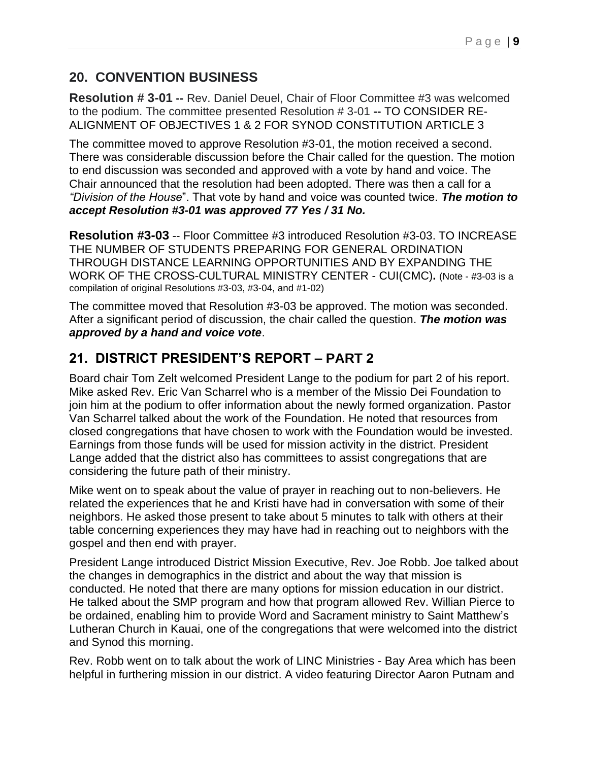### **20. CONVENTION BUSINESS**

**Resolution # 3-01 --** Rev. Daniel Deuel, Chair of Floor Committee #3 was welcomed to the podium. The committee presented Resolution # 3-01 **--** TO CONSIDER RE-ALIGNMENT OF OBJECTIVES 1 & 2 FOR SYNOD CONSTITUTION ARTICLE 3

The committee moved to approve Resolution #3-01, the motion received a second. There was considerable discussion before the Chair called for the question. The motion to end discussion was seconded and approved with a vote by hand and voice. The Chair announced that the resolution had been adopted. There was then a call for a *"Division of the House*". That vote by hand and voice was counted twice. *The motion to accept Resolution #3-01 was approved 77 Yes / 31 No.* 

**Resolution #3-03** -- Floor Committee #3 introduced Resolution #3-03. TO INCREASE THE NUMBER OF STUDENTS PREPARING FOR GENERAL ORDINATION THROUGH DISTANCE LEARNING OPPORTUNITIES AND BY EXPANDING THE WORK OF THE CROSS-CULTURAL MINISTRY CENTER - CUI(CMC)**.** (Note - #3-03 is a compilation of original Resolutions #3-03, #3-04, and #1-02)

The committee moved that Resolution #3-03 be approved. The motion was seconded. After a significant period of discussion, the chair called the question. *The motion was approved by a hand and voice vote*.

## **21. DISTRICT PRESIDENT'S REPORT – PART 2**

Board chair Tom Zelt welcomed President Lange to the podium for part 2 of his report. Mike asked Rev. Eric Van Scharrel who is a member of the Missio Dei Foundation to join him at the podium to offer information about the newly formed organization. Pastor Van Scharrel talked about the work of the Foundation. He noted that resources from closed congregations that have chosen to work with the Foundation would be invested. Earnings from those funds will be used for mission activity in the district. President Lange added that the district also has committees to assist congregations that are considering the future path of their ministry.

Mike went on to speak about the value of prayer in reaching out to non-believers. He related the experiences that he and Kristi have had in conversation with some of their neighbors. He asked those present to take about 5 minutes to talk with others at their table concerning experiences they may have had in reaching out to neighbors with the gospel and then end with prayer.

President Lange introduced District Mission Executive, Rev. Joe Robb. Joe talked about the changes in demographics in the district and about the way that mission is conducted. He noted that there are many options for mission education in our district. He talked about the SMP program and how that program allowed Rev. Willian Pierce to be ordained, enabling him to provide Word and Sacrament ministry to Saint Matthew's Lutheran Church in Kauai, one of the congregations that were welcomed into the district and Synod this morning.

Rev. Robb went on to talk about the work of LINC Ministries - Bay Area which has been helpful in furthering mission in our district. A video featuring Director Aaron Putnam and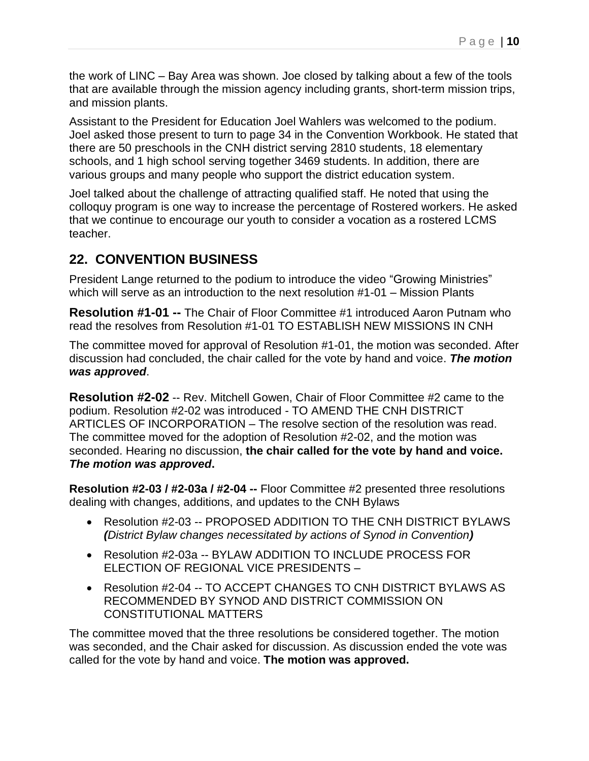the work of LINC – Bay Area was shown. Joe closed by talking about a few of the tools that are available through the mission agency including grants, short-term mission trips, and mission plants.

Assistant to the President for Education Joel Wahlers was welcomed to the podium. Joel asked those present to turn to page 34 in the Convention Workbook. He stated that there are 50 preschools in the CNH district serving 2810 students, 18 elementary schools, and 1 high school serving together 3469 students. In addition, there are various groups and many people who support the district education system.

Joel talked about the challenge of attracting qualified staff. He noted that using the colloquy program is one way to increase the percentage of Rostered workers. He asked that we continue to encourage our youth to consider a vocation as a rostered LCMS teacher.

#### **22. CONVENTION BUSINESS**

President Lange returned to the podium to introduce the video "Growing Ministries" which will serve as an introduction to the next resolution #1-01 – Mission Plants

**Resolution #1-01 --** The Chair of Floor Committee #1 introduced Aaron Putnam who read the resolves from Resolution #1-01 TO ESTABLISH NEW MISSIONS IN CNH

The committee moved for approval of Resolution #1-01, the motion was seconded. After discussion had concluded, the chair called for the vote by hand and voice. *The motion was approved*.

**Resolution #2-02** -- Rev. Mitchell Gowen, Chair of Floor Committee #2 came to the podium. Resolution #2-02 was introduced - TO AMEND THE CNH DISTRICT ARTICLES OF INCORPORATION – The resolve section of the resolution was read. The committee moved for the adoption of Resolution #2-02, and the motion was seconded. Hearing no discussion, **the chair called for the vote by hand and voice.**  *The motion was approved***.**

**Resolution #2-03 / #2-03a / #2-04 --** Floor Committee #2 presented three resolutions dealing with changes, additions, and updates to the CNH Bylaws

- Resolution #2-03 -- PROPOSED ADDITION TO THE CNH DISTRICT BYLAWS *(District Bylaw changes necessitated by actions of Synod in Convention)*
- Resolution #2-03a -- BYLAW ADDITION TO INCLUDE PROCESS FOR ELECTION OF REGIONAL VICE PRESIDENTS –
- Resolution #2-04 -- TO ACCEPT CHANGES TO CNH DISTRICT BYLAWS AS RECOMMENDED BY SYNOD AND DISTRICT COMMISSION ON CONSTITUTIONAL MATTERS

The committee moved that the three resolutions be considered together. The motion was seconded, and the Chair asked for discussion. As discussion ended the vote was called for the vote by hand and voice. **The motion was approved.**